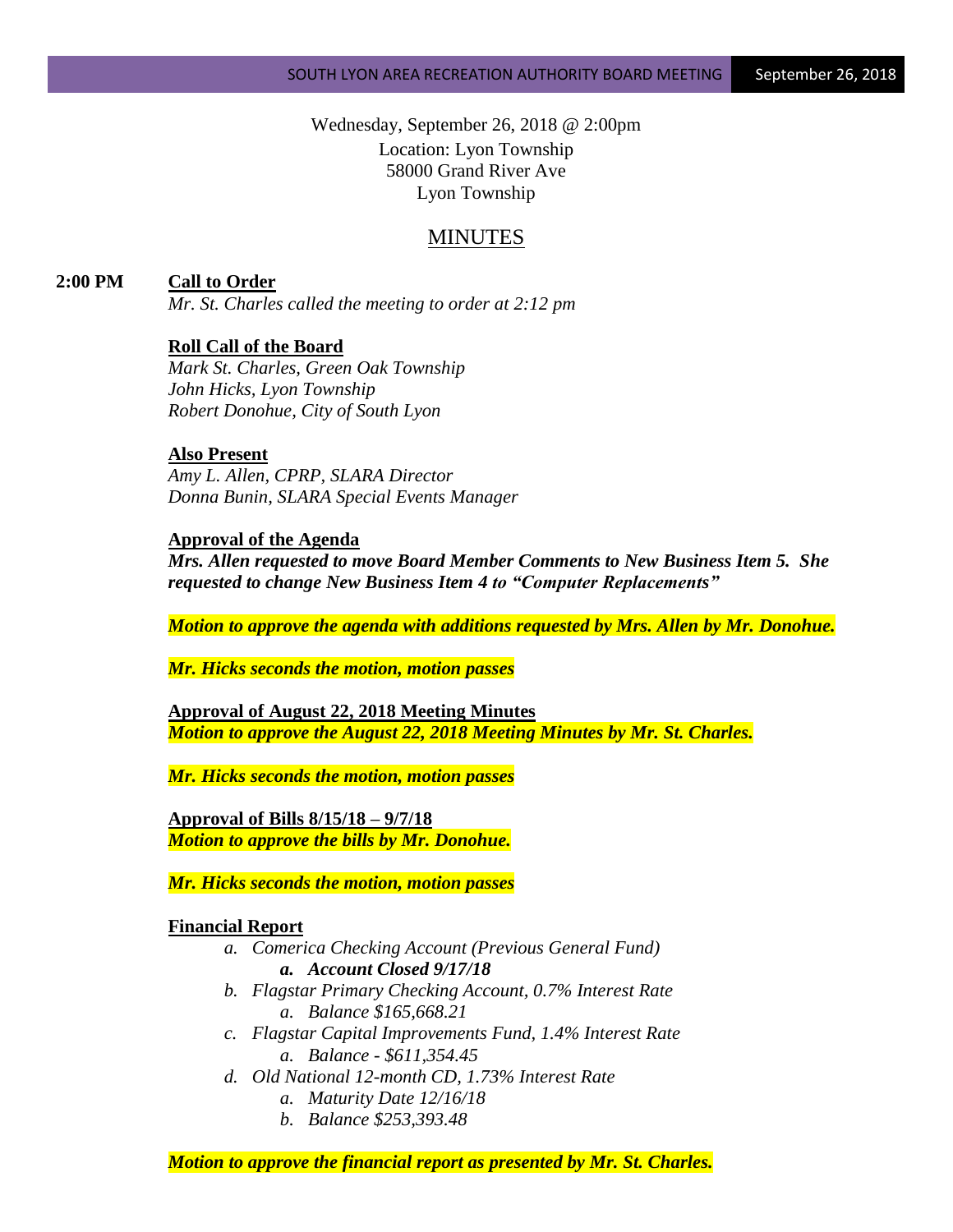Wednesday, September 26, 2018 @ 2:00pm Location: Lyon Township 58000 Grand River Ave Lyon Township

# MINUTES

**2:00 PM Call to Order**

*Mr. St. Charles called the meeting to order at 2:12 pm*

# **Roll Call of the Board**

*Mark St. Charles, Green Oak Township John Hicks, Lyon Township Robert Donohue, City of South Lyon*

## **Also Present**

*Amy L. Allen, CPRP, SLARA Director Donna Bunin, SLARA Special Events Manager*

## **Approval of the Agenda**

*Mrs. Allen requested to move Board Member Comments to New Business Item 5. She requested to change New Business Item 4 to "Computer Replacements"*

*Motion to approve the agenda with additions requested by Mrs. Allen by Mr. Donohue.*

*Mr. Hicks seconds the motion, motion passes*

**Approval of August 22, 2018 Meeting Minutes** *Motion to approve the August 22, 2018 Meeting Minutes by Mr. St. Charles.*

*Mr. Hicks seconds the motion, motion passes*

**Approval of Bills 8/15/18 – 9/7/18** *Motion to approve the bills by Mr. Donohue.*

*Mr. Hicks seconds the motion, motion passes*

## **Financial Report**

- *a. Comerica Checking Account (Previous General Fund) a. Account Closed 9/17/18*
- *b. Flagstar Primary Checking Account, 0.7% Interest Rate a. Balance \$165,668.21*
- *c. Flagstar Capital Improvements Fund, 1.4% Interest Rate a. Balance - \$611,354.45*
- *d. Old National 12-month CD, 1.73% Interest Rate a. Maturity Date 12/16/18*
	- *b. Balance \$253,393.48*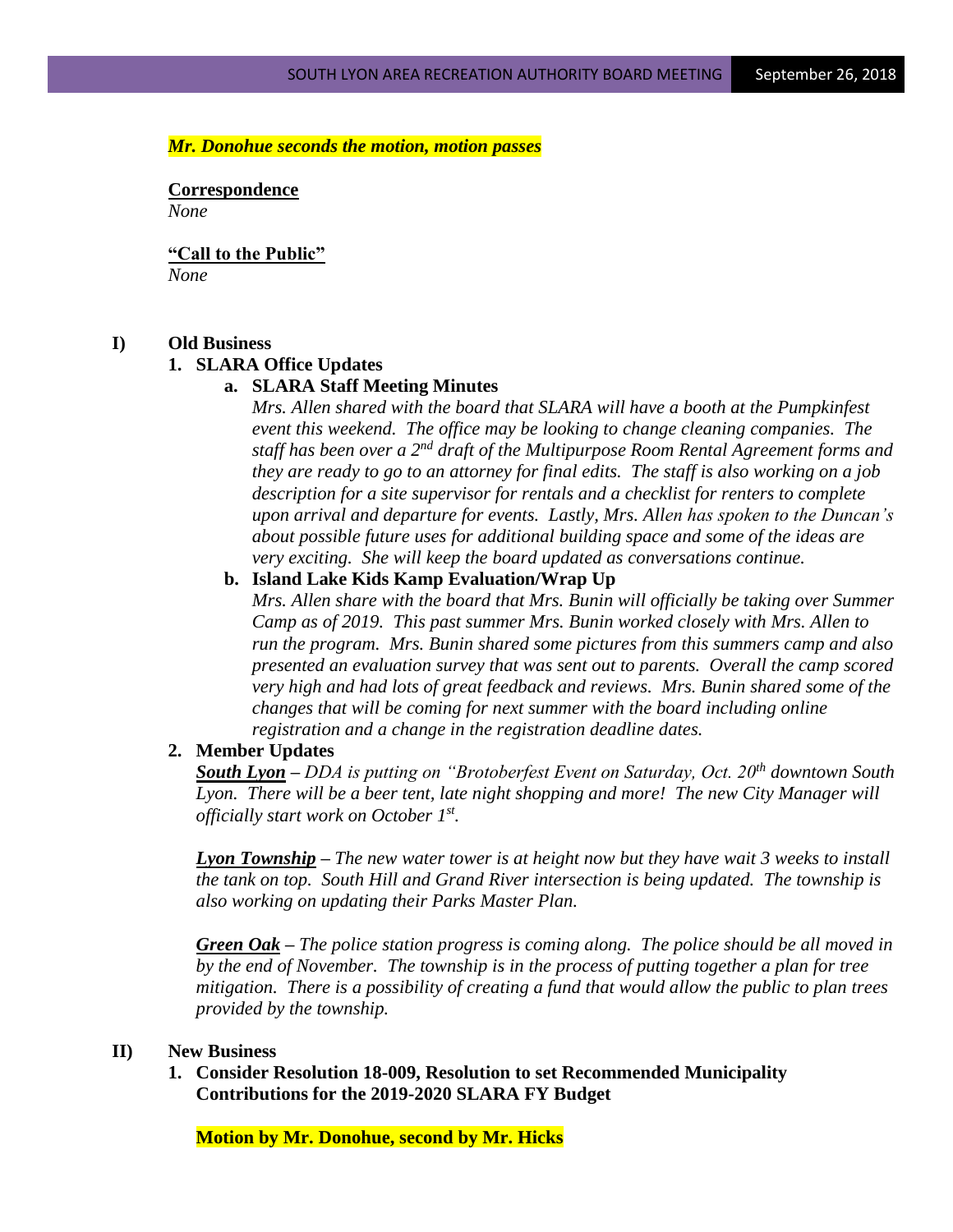#### *Mr. Donohue seconds the motion, motion passes*

**Correspondence** *None*

**"Call to the Public"** *None*

## **I) Old Business**

## **1. SLARA Office Updates**

#### **a. SLARA Staff Meeting Minutes**

*Mrs. Allen shared with the board that SLARA will have a booth at the Pumpkinfest event this weekend. The office may be looking to change cleaning companies. The staff has been over a 2nd draft of the Multipurpose Room Rental Agreement forms and they are ready to go to an attorney for final edits. The staff is also working on a job description for a site supervisor for rentals and a checklist for renters to complete upon arrival and departure for events. Lastly, Mrs. Allen has spoken to the Duncan's about possible future uses for additional building space and some of the ideas are very exciting. She will keep the board updated as conversations continue.*

#### **b. Island Lake Kids Kamp Evaluation/Wrap Up**

*Mrs. Allen share with the board that Mrs. Bunin will officially be taking over Summer Camp as of 2019. This past summer Mrs. Bunin worked closely with Mrs. Allen to run the program. Mrs. Bunin shared some pictures from this summers camp and also presented an evaluation survey that was sent out to parents. Overall the camp scored very high and had lots of great feedback and reviews. Mrs. Bunin shared some of the changes that will be coming for next summer with the board including online registration and a change in the registration deadline dates.* 

#### **2. Member Updates**

*South Lyon – DDA is putting on "Brotoberfest Event on Saturday, Oct. 20th downtown South*  Lyon. There will be a beer tent, late night shopping and more! The new City Manager will *officially start work on October 1st .* 

*Lyon Township – The new water tower is at height now but they have wait 3 weeks to install the tank on top. South Hill and Grand River intersection is being updated. The township is also working on updating their Parks Master Plan.*

*Green Oak – The police station progress is coming along. The police should be all moved in by the end of November. The township is in the process of putting together a plan for tree mitigation. There is a possibility of creating a fund that would allow the public to plan trees provided by the township.*

#### **II) New Business**

**1. Consider Resolution 18-009, Resolution to set Recommended Municipality Contributions for the 2019-2020 SLARA FY Budget**

**Motion by Mr. Donohue, second by Mr. Hicks**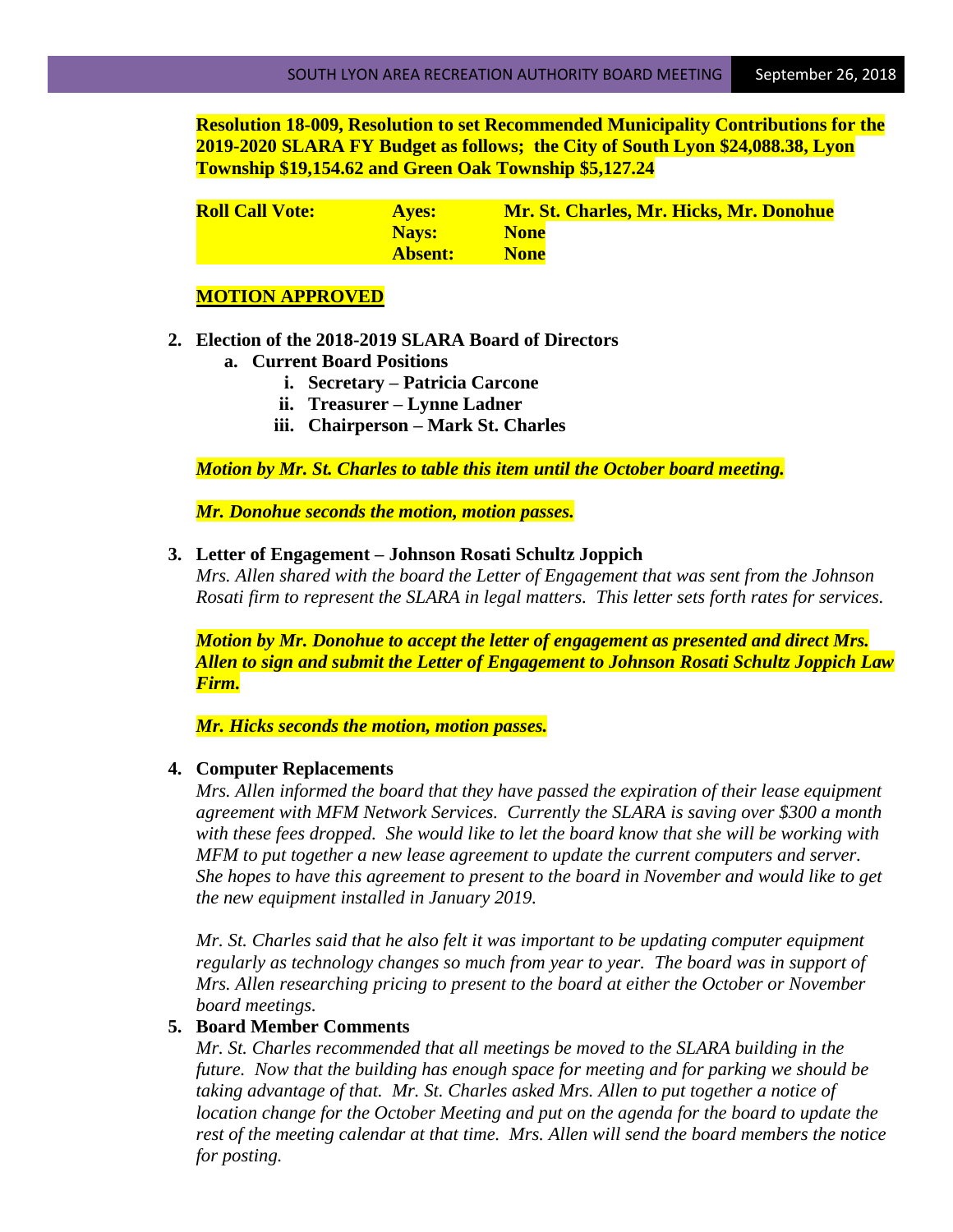**Resolution 18-009, Resolution to set Recommended Municipality Contributions for the 2019-2020 SLARA FY Budget as follows; the City of South Lyon \$24,088.38, Lyon Township \$19,154.62 and Green Oak Township \$5,127.24**

| <b>Roll Call Vote:</b> | <b>Aves:</b> | Mr. St. Charles, Mr. Hicks, Mr. Donohue |
|------------------------|--------------|-----------------------------------------|
|                        | Navs:        | <b>None</b>                             |
|                        | Absent:      | <b>None</b>                             |

# **MOTION APPROVED**

- **2. Election of the 2018-2019 SLARA Board of Directors**
	- **a. Current Board Positions**
		- **i. Secretary – Patricia Carcone**
		- **ii. Treasurer – Lynne Ladner**
		- **iii. Chairperson – Mark St. Charles**

*Motion by Mr. St. Charles to table this item until the October board meeting.*

*Mr. Donohue seconds the motion, motion passes.*

#### **3. Letter of Engagement – Johnson Rosati Schultz Joppich**

*Mrs. Allen shared with the board the Letter of Engagement that was sent from the Johnson Rosati firm to represent the SLARA in legal matters. This letter sets forth rates for services.*

*Motion by Mr. Donohue to accept the letter of engagement as presented and direct Mrs. Allen to sign and submit the Letter of Engagement to Johnson Rosati Schultz Joppich Law Firm.*

*Mr. Hicks seconds the motion, motion passes.*

#### **4. Computer Replacements**

*Mrs. Allen informed the board that they have passed the expiration of their lease equipment agreement with MFM Network Services. Currently the SLARA is saving over \$300 a month with these fees dropped. She would like to let the board know that she will be working with MFM to put together a new lease agreement to update the current computers and server. She hopes to have this agreement to present to the board in November and would like to get the new equipment installed in January 2019.*

*Mr. St. Charles said that he also felt it was important to be updating computer equipment regularly as technology changes so much from year to year. The board was in support of Mrs. Allen researching pricing to present to the board at either the October or November board meetings.*

## **5. Board Member Comments**

*Mr. St. Charles recommended that all meetings be moved to the SLARA building in the future. Now that the building has enough space for meeting and for parking we should be taking advantage of that. Mr. St. Charles asked Mrs. Allen to put together a notice of location change for the October Meeting and put on the agenda for the board to update the rest of the meeting calendar at that time. Mrs. Allen will send the board members the notice for posting.*